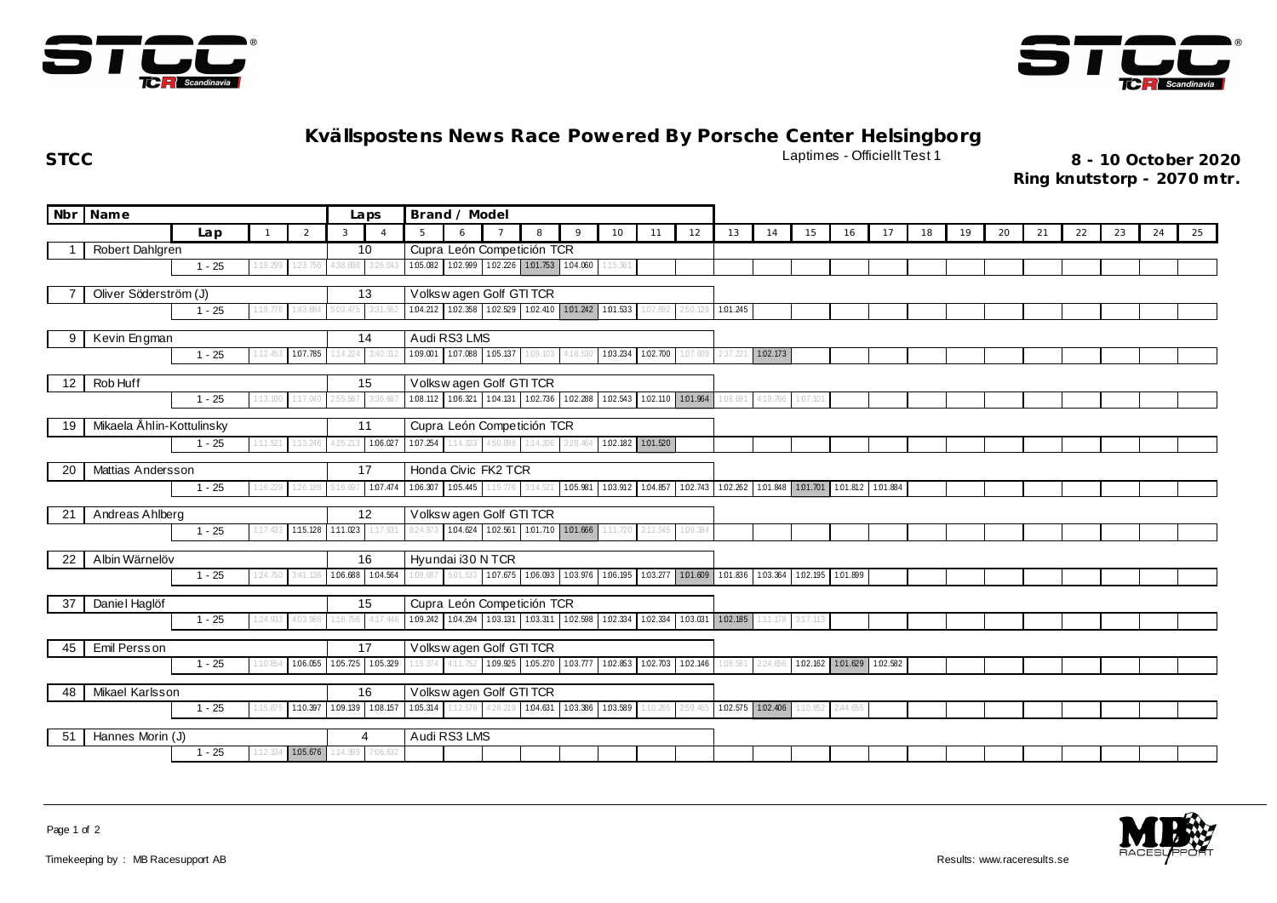



## **Kvällspostens News Race Powered By Porsche Center Helsingborg**

**STCC** Laptimes - Officiellt Test 1 **8 - 10 October 2020**

**Ring knutstorp - 2070 mtr.**

| Nbr                         | Name<br>Laps              |                  |                                     |                   |                            |                            |                         | Brand / Model                                                   |                         |          |                                              |                   |          |          |                   |                                                                         |                            |                   |          |    |    |    |    |    |    |    |    |
|-----------------------------|---------------------------|------------------|-------------------------------------|-------------------|----------------------------|----------------------------|-------------------------|-----------------------------------------------------------------|-------------------------|----------|----------------------------------------------|-------------------|----------|----------|-------------------|-------------------------------------------------------------------------|----------------------------|-------------------|----------|----|----|----|----|----|----|----|----|
|                             |                           | Lap              | $\overline{2}$<br>3<br>$\mathbf{1}$ |                   |                            |                            | 5                       | 6                                                               |                         | 8        | 9                                            | 10                | 11       | 12       | 13                | 14                                                                      | 15                         | 16                | 17       | 18 | 19 | 20 | 21 | 22 | 23 | 24 | 25 |
|                             | Robert Dahlgren           | 10 <sup>10</sup> |                                     |                   |                            |                            |                         | Cupra León Competición TCR                                      |                         |          |                                              |                   |          |          |                   |                                                                         |                            |                   |          |    |    |    |    |    |    |    |    |
|                             |                           | $1 - 25$         | 1:19.299                            | 123.756           | 4:38.898                   | 3:26.04                    |                         | 105.082 102.999 102.226 101.753 104.060                         |                         |          |                                              | 1:15.361          |          |          |                   |                                                                         |                            |                   |          |    |    |    |    |    |    |    |    |
| Oliver Söderström (J)<br>13 |                           |                  |                                     |                   |                            |                            | Volkswagen Golf GTI TCR |                                                                 |                         |          |                                              |                   |          |          |                   |                                                                         |                            |                   |          |    |    |    |    |    |    |    |    |
|                             |                           | $1 - 25$         | 1:19.776                            | 1:43.884          | 5:03.475                   | 3:31.562                   |                         | 104.212 102.358 102.529 102.410 101.242 101.533                 |                         |          |                                              |                   | 1:07.692 | 2:50.129 | 1.01.245          |                                                                         |                            |                   |          |    |    |    |    |    |    |    |    |
|                             |                           |                  |                                     |                   |                            |                            |                         |                                                                 |                         |          |                                              |                   |          |          |                   |                                                                         |                            |                   |          |    |    |    |    |    |    |    |    |
| 9                           | 14<br>Kevin Engman        |                  |                                     |                   |                            |                            | Audi RS3 LMS            |                                                                 |                         |          |                                              |                   |          |          |                   |                                                                         |                            |                   |          |    |    |    |    |    |    |    |    |
|                             |                           | $1 - 25$         | 112.45                              | 1:07.785          | 1:14.224                   | 3:40                       | 1:09.001                | 1.07.088 1.05.137                                               |                         | 1:09.103 | 4:18.530                                     | 1.03.234 1.02.700 |          | 1:07.609 |                   | 1.02.173                                                                |                            |                   |          |    |    |    |    |    |    |    |    |
| 12                          | Rob Huff                  |                  |                                     |                   |                            | 15                         |                         | Volkswagen Golf GTI TCR                                         |                         |          |                                              |                   |          |          |                   |                                                                         |                            |                   |          |    |    |    |    |    |    |    |    |
|                             |                           | $1 - 25$         | 113.100                             | 117.040           | :55.567                    | 3:36.66                    |                         | 108.112 106.321 104.131 102.736 102.288 102.543 102.110 101.964 |                         |          |                                              |                   |          |          | 1:08.69           | 4:19.766                                                                | 1:07.101                   |                   |          |    |    |    |    |    |    |    |    |
|                             | Mikaela Ählin-Kottulinsky |                  |                                     |                   |                            | 11                         |                         | Cupra León Competición TCR                                      |                         |          |                                              |                   |          |          |                   |                                                                         |                            |                   |          |    |    |    |    |    |    |    |    |
| 19                          |                           | $1 - 25$         | 1:11.521                            | 1:13.246          |                            | 1:06.027                   | 1.07.254                | 1:14.333                                                        | 150.898                 | 1:14.206 | 328.464                                      | 1.02.182 1.01.520 |          |          |                   |                                                                         |                            |                   |          |    |    |    |    |    |    |    |    |
|                             |                           |                  |                                     |                   |                            |                            |                         |                                                                 |                         |          |                                              |                   |          |          |                   |                                                                         |                            |                   |          |    |    |    |    |    |    |    |    |
| 20                          | Mattias Andersson         |                  |                                     |                   |                            | 17                         | Honda Civic FK2 TCR     |                                                                 |                         |          |                                              |                   |          |          |                   |                                                                         |                            |                   |          |    |    |    |    |    |    |    |    |
|                             |                           | $1 - 25$         | 1:16.229                            | 1:26.188          | 5:16.697                   | 1:07.474                   | 1.06.307 1.05.445       |                                                                 | 15.776                  | 3:14.521 |                                              |                   |          |          |                   | 105.981 103.912 104.857 102.743 102.262 101.848 101.701 101.812 101.884 |                            |                   |          |    |    |    |    |    |    |    |    |
| 21                          | Andreas Ahlberg           |                  |                                     |                   |                            | 12                         | Volkswagen Golf GTI TCR |                                                                 |                         |          |                                              |                   |          |          |                   |                                                                         |                            |                   |          |    |    |    |    |    |    |    |    |
|                             |                           | $1 - 25$         | 1:17.433                            | 1:15.128 1:11.023 |                            | 1:17.931                   | 8:24.973                | 1.04.624 1.02.561 1.01.710 1.01.666                             |                         |          |                                              | 1:11.720          | 3:12.545 | 1:09.384 |                   |                                                                         |                            |                   |          |    |    |    |    |    |    |    |    |
|                             |                           |                  |                                     |                   |                            |                            |                         |                                                                 |                         |          |                                              |                   |          |          |                   |                                                                         |                            |                   |          |    |    |    |    |    |    |    |    |
| 22                          | Albin Wärnelöv            |                  |                                     |                   |                            | 16                         |                         | Hyundai i30 N TCR                                               |                         |          |                                              |                   |          |          |                   |                                                                         |                            |                   |          |    |    |    |    |    |    |    |    |
|                             |                           | $1 - 25$         | 124.750                             | 3:41.13           | 1.06.688                   | 1.04.564                   | 1:09.687                | 5:01.533                                                        | 1.07.675                | 1:06.093 | 1.03.976 1.06.195 1.03.277 1.01.609 1.01.836 |                   |          |          |                   |                                                                         | 1.03.364 1.02.195 1.01.899 |                   |          |    |    |    |    |    |    |    |    |
| 37                          | Daniel Haglöf             |                  |                                     |                   |                            | 15                         |                         | Cupra León Competición TCR                                      |                         |          |                                              |                   |          |          |                   |                                                                         |                            |                   |          |    |    |    |    |    |    |    |    |
|                             |                           | $1 - 25$         | 1:24.933                            | 4:03.988          | 1:16.756                   | 4:17.44                    |                         | 1.09.242 1.04.294 1.03.131 1.03.311 1.02.598 1.02.334           |                         |          |                                              |                   | 1:02.334 |          | 1.03.031 1.02.185 | 1:11.178                                                                | 3:17.113                   |                   |          |    |    |    |    |    |    |    |    |
|                             | 17                        |                  |                                     |                   |                            |                            |                         |                                                                 | Volkswagen Golf GTI TCR |          |                                              |                   |          |          |                   |                                                                         |                            |                   |          |    |    |    |    |    |    |    |    |
| 45                          | Emil Persson              | $1 - 25$         | 1:10.854                            |                   |                            | 1.06.055 1.05.725 1.05.329 | 115.374                 | 4:11.752 1.09.925 1.05.270 1.03.777 1.02.853 1.02.703           |                         |          |                                              |                   |          | 1.02.146 | 1:08.581          | 2:24.656                                                                |                            | 1.02.162 1.01.629 | 1:02.582 |    |    |    |    |    |    |    |    |
|                             |                           |                  |                                     |                   |                            |                            |                         |                                                                 |                         |          |                                              |                   |          |          |                   |                                                                         |                            |                   |          |    |    |    |    |    |    |    |    |
| Mikael Karlsson<br>16<br>48 |                           |                  |                                     |                   |                            | Volkswagen Golf GTI TCR    |                         |                                                                 |                         |          |                                              |                   |          |          |                   |                                                                         |                            |                   |          |    |    |    |    |    |    |    |    |
|                             |                           | $1 - 25$         | 1:15.875                            |                   | 1:10.397 1:09.139 1:08.157 |                            |                         | 1.05.314 1.12.579 4.28.219 1.04.631 1.03.386 1.03.589           |                         |          |                                              |                   | 1:10.265 | 2:59.465 |                   | 1.02.575 1.02.406                                                       |                            | 1:10.952 2:44.655 |          |    |    |    |    |    |    |    |    |
| -51                         | Hannes Morin (J)<br>4     |                  |                                     |                   |                            |                            | Audi RS3 LMS            |                                                                 |                         |          |                                              |                   |          |          |                   |                                                                         |                            |                   |          |    |    |    |    |    |    |    |    |
|                             |                           | $1 - 25$         | 1:12.33                             | 1.05.676          | 1:14.399                   | 7:06.632                   |                         |                                                                 |                         |          |                                              |                   |          |          |                   |                                                                         |                            |                   |          |    |    |    |    |    |    |    |    |